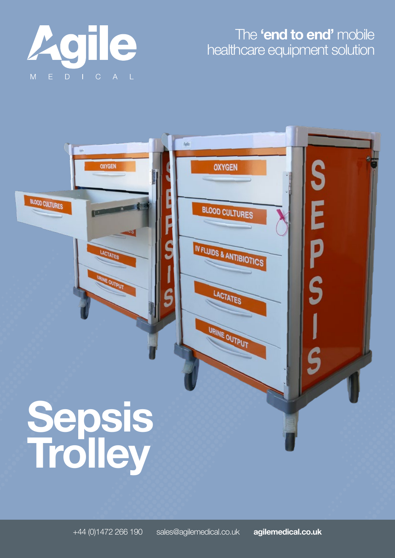

## The **'end to end'** mobile healthcare equipment solution

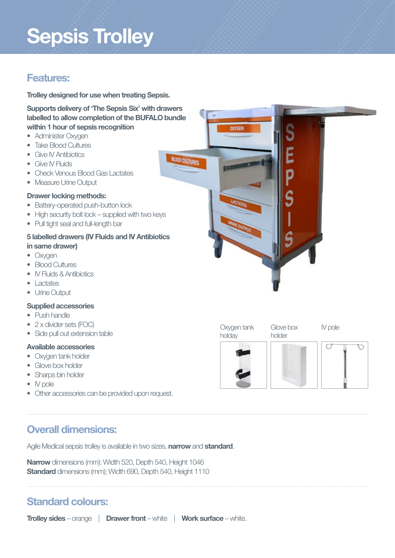## **Sepsis Trolley**

### **Features:**

**Trolley designed for use when treating Sepsis.**

**Supports delivery of 'The Sepsis Six' with drawers labelled to allow completion of the BUFALO bundle within 1 hour of sepsis recognition**

- Administer Oxygen
- Take Blood Cultures
- Give IV Antibiotics
- Give IV Fluids
- Check Venous Blood Gas Lactates
- Measure Urine Output

#### **Drawer locking methods:**

- Battery-operated push-button lock
- High security bolt lock supplied with two keys
- Pull tight seal and full-length bar

#### **5 labelled drawers (IV Fluids and IV Antibiotics in same drawer)**

- Oxygen
- Blood Cultures
- IV Fluids & Antibiotics
- Lactates
- Urine Output

#### **Supplied accessories**

- Push handle
- 2 x divider sets (FOC)
- Side pull out extension table

#### **Available accessories**

- Oxygen tank holder
- Glove box holder
- Sharps bin holder
- IV pole
- Other accessories can be provided upon request.

## **Overall dimensions:**

Agile Medical sepsis trolley is available in two sizes, **narrow** and **standard**.

**Narrow** dimensions (mm): Width 520, Depth 540, Height 1046 **Standard** dimensions (mm); Width 690, Depth 540, Height 1110

## **Standard colours:**

**Trolley sides** – orange | **Drawer front** – white | **Work surface** – white.



Oxygen tank holday

Glove box holder







IV pole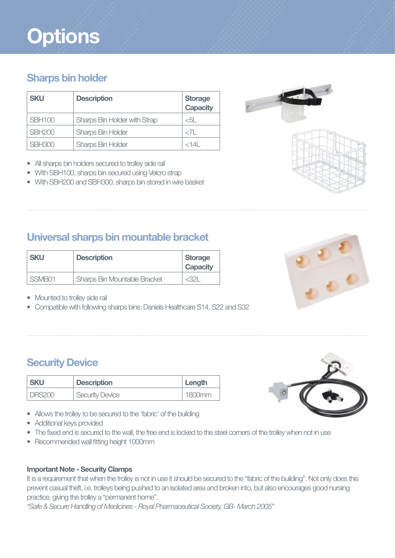# **Options**

## **Sharps bin holder**

| <b>SKU</b>    | <b>Description</b>           | <b>Storage</b><br><b>Capacity</b> |
|---------------|------------------------------|-----------------------------------|
| <b>SBH100</b> | Sharps Bin Holder with Strap | $<$ 51                            |
| <b>SBH200</b> | <b>Sharps Bin Holder</b>     | $\langle 7 $                      |
| <b>SBH300</b> | <b>Sharps Bin Holder</b>     | $<$ 14 $\parallel$                |

- All sharps bin holders secured to trolley side rail
- With SBH100, sharps bin secured using Velcro strap
- With SBH200 and SBH300, sharps bin stored in wire basket

## **Universal sharps bin mountable bracket**

| <b>SKU</b> | <b>Description</b>                  | <b>Storage</b><br><b>Capacity</b> |
|------------|-------------------------------------|-----------------------------------|
| SSMB01     | <b>Sharps Bin Mountable Bracket</b> | <321                              |

- Mounted to trolley side rail
- Compatible with following sharps bins: Daniels Healthcare S14, S22 and S32

## **Security Device**

| <b>SKU</b>    | <b>Description</b>     | Length |
|---------------|------------------------|--------|
| <b>DRS200</b> | <b>Security Device</b> | 1800mm |

- Allows the trolley to be secured to the 'fabric' of the building
- Additional keys provided
- The fixed end is secured to the wall, the free end is locked to the steel corners of the trolley when not in use
- Recommended wall fitting height 1000mm

#### **Important Note - Security Clamps**

It is a requirement that when the trolley is not in use it should be secured to the "fabric of the building". Not only does this prevent casual theft, i.e. trolleys being pushed to an isolated area and broken into, but also encourages good nursing practice, giving the trolley a "permanent home".

*"Safe & Secure Handling of Medicines - Royal Pharmaceutical Society, GB- March 2005"*